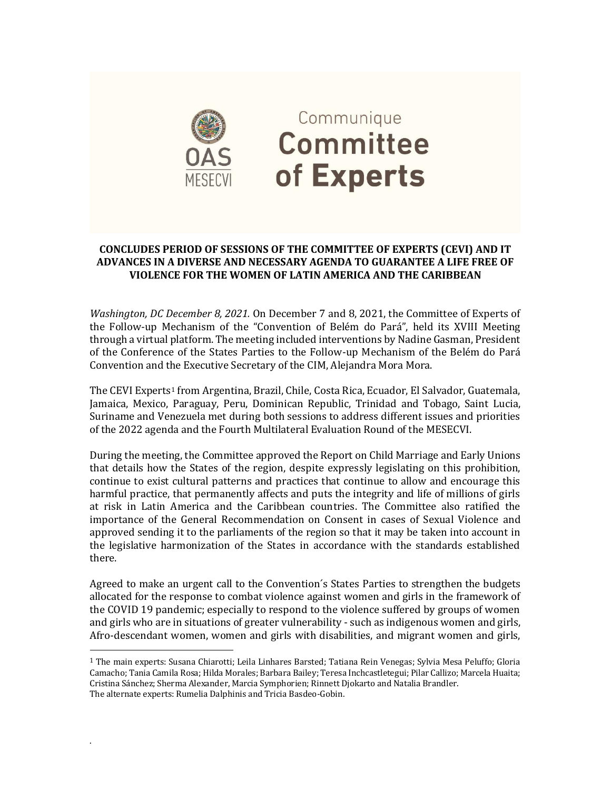

## Communique **Committee** of Experts

## **CONCLUDES PERIOD OF SESSIONS OF THE COMMITTEE OF EXPERTS (CEVI) AND IT ADVANCES IN A DIVERSE AND NECESSARY AGENDA TO GUARANTEE A LIFE FREE OF VIOLENCE FOR THE WOMEN OF LATIN AMERICA AND THE CARIBBEAN**

*Washington, DC December 8, 2021.* On December 7 and 8, 2021, the Committee of Experts of the Follow-up Mechanism of the "Convention of Belém do Pará", held its XVIII Meeting through a virtual platform. The meeting included interventions by Nadine Gasman, President of the Conference of the States Parties to the Follow-up Mechanism of the Belém do Pará Convention and the Executive Secretary of the CIM, Alejandra Mora Mora.

The CEVI Experts<sup>1</sup> from Argentina, Brazil, Chile, Costa Rica, Ecuador, El Salvador, Guatemala, Jamaica, Mexico, Paraguay, Peru, Dominican Republic, Trinidad and Tobago, Saint Lucia, Suriname and Venezuela met during both sessions to address different issues and priorities of the 2022 agenda and the Fourth Multilateral Evaluation Round of the MESECVI.

During the meeting, the Committee approved the Report on Child Marriage and Early Unions that details how the States of the region, despite expressly legislating on this prohibition, continue to exist cultural patterns and practices that continue to allow and encourage this harmful practice, that permanently affects and puts the integrity and life of millions of girls at risk in Latin America and the Caribbean countries. The Committee also ratified the importance of the General Recommendation on Consent in cases of Sexual Violence and approved sending it to the parliaments of the region so that it may be taken into account in the legislative harmonization of the States in accordance with the standards established there.

Agreed to make an urgent call to the Convention´s States Parties to strengthen the budgets allocated for the response to combat violence against women and girls in the framework of the COVID 19 pandemic; especially to respond to the violence suffered by groups of women and girls who are in situations of greater vulnerability - such as indigenous women and girls, Afro-descendant women, women and girls with disabilities, and migrant women and girls,

.

 $\overline{a}$ 

<sup>1</sup> The main experts: Susana Chiarotti; Leila Linhares Barsted; Tatiana Rein Venegas; Sylvia Mesa Peluffo; Gloria Camacho; Tania Camila Rosa; Hilda Morales; Barbara Bailey; Teresa Inchcastletegui; Pilar Callizo; Marcela Huaita; Cristina Sánchez; Sherma Alexander, Marcia Symphorien; Rinnett Djokarto and Natalia Brandler. The alternate experts: Rumelia Dalphinis and Tricia Basdeo-Gobin.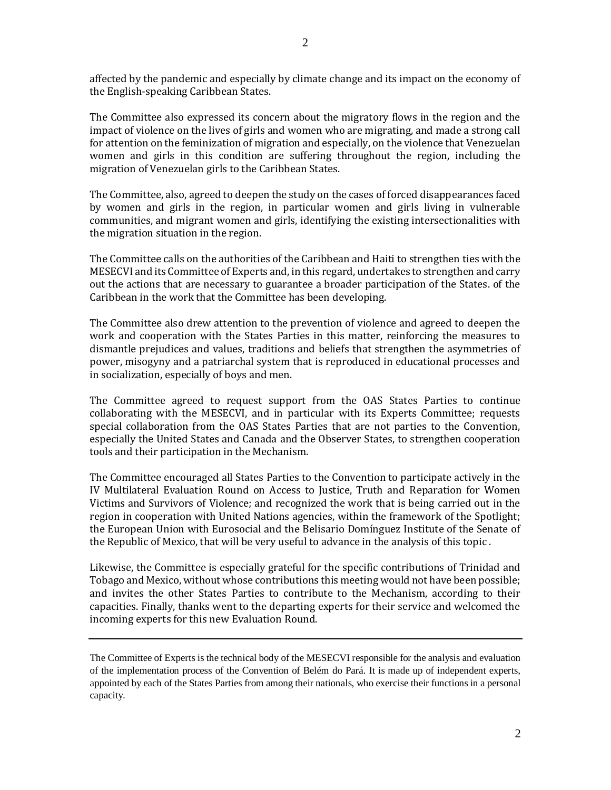affected by the pandemic and especially by climate change and its impact on the economy of the English-speaking Caribbean States.

The Committee also expressed its concern about the migratory flows in the region and the impact of violence on the lives of girls and women who are migrating, and made a strong call for attention on the feminization of migration and especially, on the violence that Venezuelan women and girls in this condition are suffering throughout the region, including the migration of Venezuelan girls to the Caribbean States.

The Committee, also, agreed to deepen the study on the cases of forced disappearances faced by women and girls in the region, in particular women and girls living in vulnerable communities, and migrant women and girls, identifying the existing intersectionalities with the migration situation in the region.

The Committee calls on the authorities of the Caribbean and Haiti to strengthen ties with the MESECVI and its Committee of Experts and, in this regard, undertakes to strengthen and carry out the actions that are necessary to guarantee a broader participation of the States. of the Caribbean in the work that the Committee has been developing.

The Committee also drew attention to the prevention of violence and agreed to deepen the work and cooperation with the States Parties in this matter, reinforcing the measures to dismantle prejudices and values, traditions and beliefs that strengthen the asymmetries of power, misogyny and a patriarchal system that is reproduced in educational processes and in socialization, especially of boys and men.

The Committee agreed to request support from the OAS States Parties to continue collaborating with the MESECVI, and in particular with its Experts Committee; requests special collaboration from the OAS States Parties that are not parties to the Convention, especially the United States and Canada and the Observer States, to strengthen cooperation tools and their participation in the Mechanism.

The Committee encouraged all States Parties to the Convention to participate actively in the IV Multilateral Evaluation Round on Access to Justice, Truth and Reparation for Women Victims and Survivors of Violence; and recognized the work that is being carried out in the region in cooperation with United Nations agencies, within the framework of the Spotlight; the European Union with Eurosocial and the Belisario Domínguez Institute of the Senate of the Republic of Mexico, that will be very useful to advance in the analysis of this topic .

Likewise, the Committee is especially grateful for the specific contributions of Trinidad and Tobago and Mexico, without whose contributions this meeting would not have been possible; and invites the other States Parties to contribute to the Mechanism, according to their capacities. Finally, thanks went to the departing experts for their service and welcomed the incoming experts for this new Evaluation Round.

The Committee of Experts is the technical body of the MESECVI responsible for the analysis and evaluation of the implementation process of the Convention of Belém do Pará. It is made up of independent experts, appointed by each of the States Parties from among their nationals, who exercise their functions in a personal capacity.